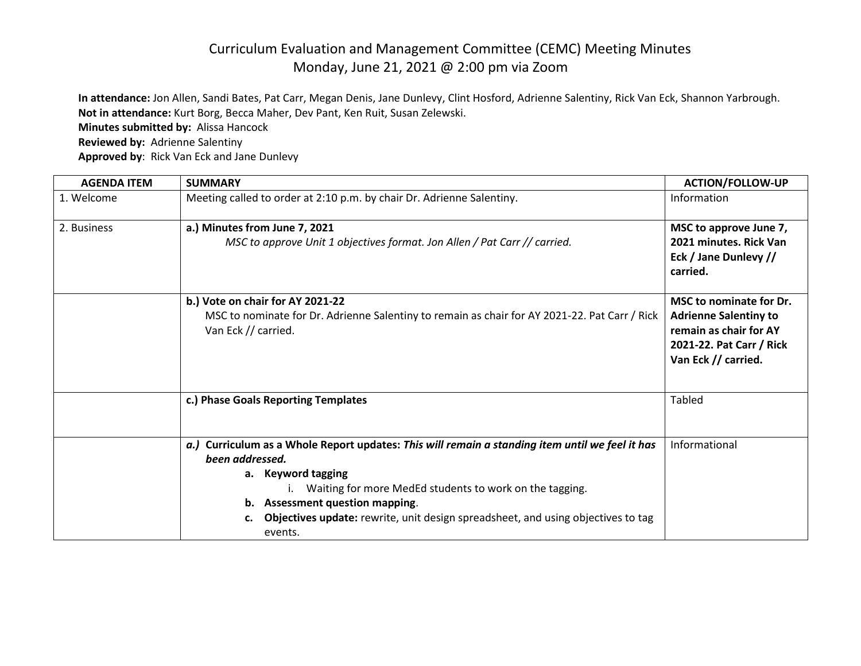## Curriculum Evaluation and Management Committee (CEMC) Meeting Minutes Monday, June 21, 2021 @ 2:00 pm via Zoom

**In attendance:** Jon Allen, Sandi Bates, Pat Carr, Megan Denis, Jane Dunlevy, Clint Hosford, Adrienne Salentiny, Rick Van Eck, Shannon Yarbrough. **Not in attendance:** Kurt Borg, Becca Maher, Dev Pant, Ken Ruit, Susan Zelewski.

**Minutes submitted by:** Alissa Hancock

**Reviewed by:** Adrienne Salentiny

**Approved by**: Rick Van Eck and Jane Dunlevy

| <b>AGENDA ITEM</b> | <b>SUMMARY</b>                                                                                                                                                                                                                                                                                                                                     | <b>ACTION/FOLLOW-UP</b>                                                                                                              |
|--------------------|----------------------------------------------------------------------------------------------------------------------------------------------------------------------------------------------------------------------------------------------------------------------------------------------------------------------------------------------------|--------------------------------------------------------------------------------------------------------------------------------------|
| 1. Welcome         | Meeting called to order at 2:10 p.m. by chair Dr. Adrienne Salentiny.                                                                                                                                                                                                                                                                              | Information                                                                                                                          |
| 2. Business        | a.) Minutes from June 7, 2021<br>MSC to approve Unit 1 objectives format. Jon Allen / Pat Carr // carried.                                                                                                                                                                                                                                         | MSC to approve June 7,<br>2021 minutes. Rick Van<br>Eck / Jane Dunlevy //<br>carried.                                                |
|                    | b.) Vote on chair for AY 2021-22<br>MSC to nominate for Dr. Adrienne Salentiny to remain as chair for AY 2021-22. Pat Carr / Rick<br>Van Eck // carried.                                                                                                                                                                                           | MSC to nominate for Dr.<br><b>Adrienne Salentiny to</b><br>remain as chair for AY<br>2021-22. Pat Carr / Rick<br>Van Eck // carried. |
|                    | c.) Phase Goals Reporting Templates                                                                                                                                                                                                                                                                                                                | <b>Tabled</b>                                                                                                                        |
|                    | a.) Curriculum as a Whole Report updates: This will remain a standing item until we feel it has<br>been addressed.<br>a. Keyword tagging<br>Waiting for more MedEd students to work on the tagging.<br>b. Assessment question mapping.<br><b>Objectives update:</b> rewrite, unit design spreadsheet, and using objectives to tag<br>c.<br>events. | Informational                                                                                                                        |